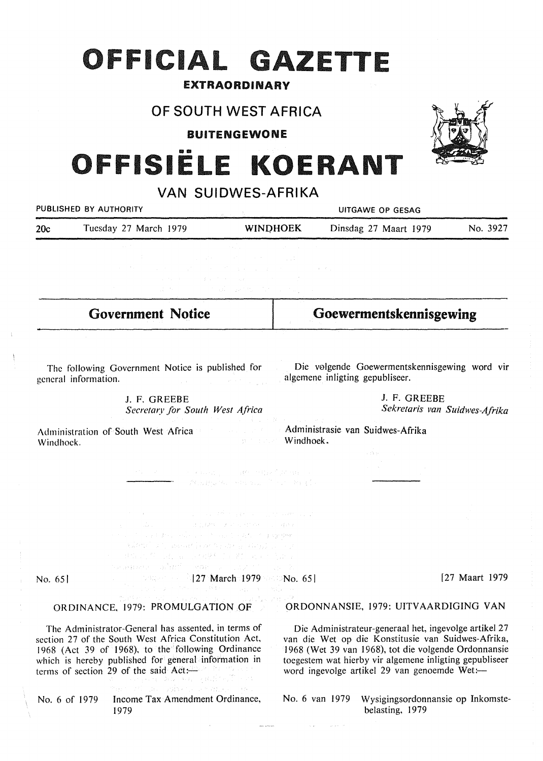# OFFICIAL GAZETTE

# EXTRAORDINARY

# OF SOUTH WEST AFRICA

BUITENGEWONE



**VAN SUIDWES-AFRIKA** 

| 11 UUID VVLU AI IIINA<br>PUBLISHED BY AUTHORITY |                                                                                                                                                                                                                                                                                                                                                                                                                                                                                                                          |                                                                                               | UITGAWE OP GESAG                                                                                                                                                                                                                                                               |                               |  |
|-------------------------------------------------|--------------------------------------------------------------------------------------------------------------------------------------------------------------------------------------------------------------------------------------------------------------------------------------------------------------------------------------------------------------------------------------------------------------------------------------------------------------------------------------------------------------------------|-----------------------------------------------------------------------------------------------|--------------------------------------------------------------------------------------------------------------------------------------------------------------------------------------------------------------------------------------------------------------------------------|-------------------------------|--|
| 20c                                             | Tuesday 27 March 1979                                                                                                                                                                                                                                                                                                                                                                                                                                                                                                    | <b>WINDHOEK</b>                                                                               | Dinsdag 27 Maart 1979                                                                                                                                                                                                                                                          | No. 3927                      |  |
|                                                 | $\mathcal{L}^{\alpha}(\mathcal{E}_{\alpha})$ , $\mathcal{E}_{\alpha}$ , $\mathcal{E}_{\alpha}$ , $\mathcal{E}_{\alpha}$ , $\mathcal{E}_{\alpha}$ , $\mathcal{E}_{\alpha}$ , $\mathcal{E}_{\alpha}$ , $\mathcal{E}_{\alpha}$ , $\mathcal{E}_{\alpha}$                                                                                                                                                                                                                                                                     | state of the company<br>しょうそう しょかいしゃ いやい かまい ふくえいせい<br>and the solution of the control of the |                                                                                                                                                                                                                                                                                |                               |  |
|                                                 | <b>Government Notice</b>                                                                                                                                                                                                                                                                                                                                                                                                                                                                                                 |                                                                                               | Goewermentskennisgewing                                                                                                                                                                                                                                                        |                               |  |
|                                                 | The following Government Notice is published for<br>general information.<br>and the control of the control of the control of                                                                                                                                                                                                                                                                                                                                                                                             |                                                                                               | Die volgende Goewermentskennisgewing word vir<br>algemene inligting gepubliseer.                                                                                                                                                                                               |                               |  |
|                                                 | J. F. GREEBE<br>Secretary for South West Africa                                                                                                                                                                                                                                                                                                                                                                                                                                                                          |                                                                                               | J. F. GREEBE                                                                                                                                                                                                                                                                   | Sekretaris van Suidwes-Afrika |  |
| Windhock.                                       | Administration of South West Africa Administrasie van Suidwes-Afrika                                                                                                                                                                                                                                                                                                                                                                                                                                                     | <b>Solution Windhoek.</b>                                                                     | a di Ser                                                                                                                                                                                                                                                                       |                               |  |
|                                                 | of the control of the control of the second product of the control of the control of the control of the control of the control of the control of the control of the control of the control of the control of the control of th                                                                                                                                                                                                                                                                                           | C. MARTINE HARALT CAR HALL                                                                    |                                                                                                                                                                                                                                                                                |                               |  |
|                                                 | some and the state of the control of the state of the species.<br>s vienel dit, assort i contrador a civilità a se p<br>医三甲酸试验 法救援 医化学检查 医半分 电平均变换器                                                                                                                                                                                                                                                                                                                                                                      | a sa mga kasang ito ng propinsi sa pag-alawang si<br>アーバー はこねやく ファンス せいやくしょうほんえ               |                                                                                                                                                                                                                                                                                |                               |  |
| No. 65                                          | to administrativa Martin e grupo de la constitución de la<br><b>The Doctor Section 1944</b> Company of the                                                                                                                                                                                                                                                                                                                                                                                                               | <b>1988 127 March 1979 1970.</b> 65<br>. Ben sa shekara 1991                                  |                                                                                                                                                                                                                                                                                | [27 Maart 1979]               |  |
|                                                 | ORDINANCE, 1979: PROMULGATION OF                                                                                                                                                                                                                                                                                                                                                                                                                                                                                         |                                                                                               | ORDONNANSIE, 1979: UITVAARDIGING VAN                                                                                                                                                                                                                                           |                               |  |
|                                                 | The Administrator-General has assented, in terms of<br>section 27 of the South West Africa Constitution Act,<br>1968 (Act 39 of 1968), to the following Ordinance<br>which is hereby published for general information in<br>terms of section 29 of the said Act:<br>$\label{eq:2} \mathcal{L}(\mathcal{L}_1) \mathcal{L}_1(\mathcal{L}_1) = \mathcal{M}_{\mathcal{L}_1} \mathcal{L}_1(\mathcal{M}_2) = \mathcal{L}_1(G_1) \mathcal{L}_1^T(\mathcal{L}_1) \mathcal{L}_2^T(\mathcal{L}_1) \mathcal{L}_2^T(\mathcal{L}_2)$ |                                                                                               | Die Administrateur-generaal het, ingevolge artikel 27<br>van die Wet op die Konstitusie van Suidwes-Afrika,<br>1968 (Wet 39 van 1968), tot die volgende Ordonnansie<br>toegestem wat hierby vir algemene inligting gepubliseer<br>word ingevolge artikel 29 van genoemde Wet:- |                               |  |

1979

No. 6 of 1979 Income Tax Amendment Ordinance, No. 6 van 1979 Wysigingsordonnansie op Inkomstebelasting, 1979

 $\omega$  ,  $\omega$  ,  $\omega$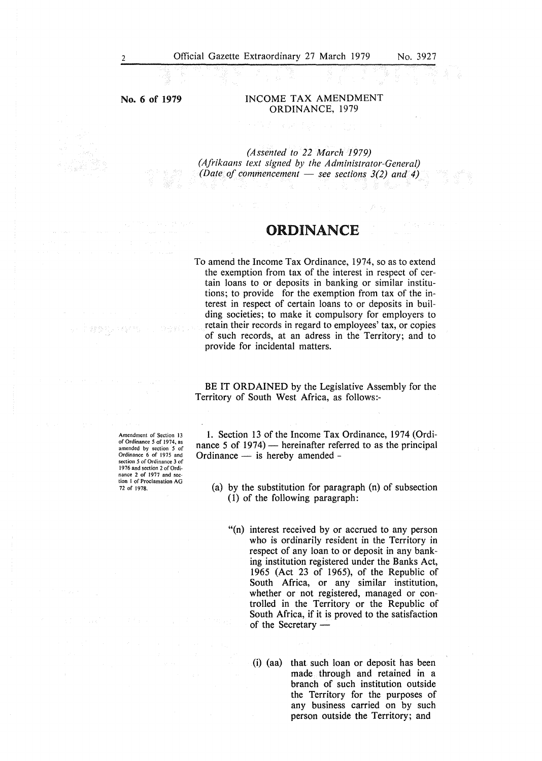### No. 6 of 1979

#### INCOME TAX AMENDMENT ORDINANCE, 1979

*(Assented to 22 March 1979) (Afrikaans text signed by the Administrator-General) (Date of commencement – see sections 3(2) and 4)* 

## ORDINANCE

To amend the Income Tax Ordinance, 1974, so as to extend the exemption from tax of the interest in respect of certain loans to or deposits in banking or similar institutions; to provide for the exemption from tax of the interest in respect of certain loans to or deposits in building societies; to make it compulsory for employers to retain their records in regard to employees' tax, or copies of such records, at an adress in the Territory; and to provide for incidental matters.

BE IT ORDAINED by the Legislative Assembly for the Territory of South West Africa, as follows:-

Amendment of Section 13 of Ordinance *5* of 1974, as amended by section *5* of Ordinance 6 of 1975 and section *5* of Ordinance 3 of 1976 and section 2 of Ordi-nance 2 of 1977 and section I of Proclamation AG 72 of 1978.

1. Section 13 of the Income Tax Ordinance, 1974 (Ordinance 5 of  $1974$ ) — hereinafter referred to as the principal Ordinance  $-$  is hereby amended  $-$ 

- (a) by the substitution for paragraph (n) of subsection (1) of the following paragraph:
	- "(n) interest received by or accrued to any person who is ordinarily resident in the Territory in respect of any loan to or deposit in any banking institution registered under the Banks Act, 1965 (Act 23 of 1965), of the Republic of South Africa, or any similar institution, whether or not registered, managed or controlled in the Territory or the Republic of South Africa, if it is proved to the satisfaction of the Secretary  $-$ 
		- (i) (aa) that such loan or deposit has been made through and retained in a branch of such institution outside the Territory for the purposes of any business carried on by such person outside the Territory; and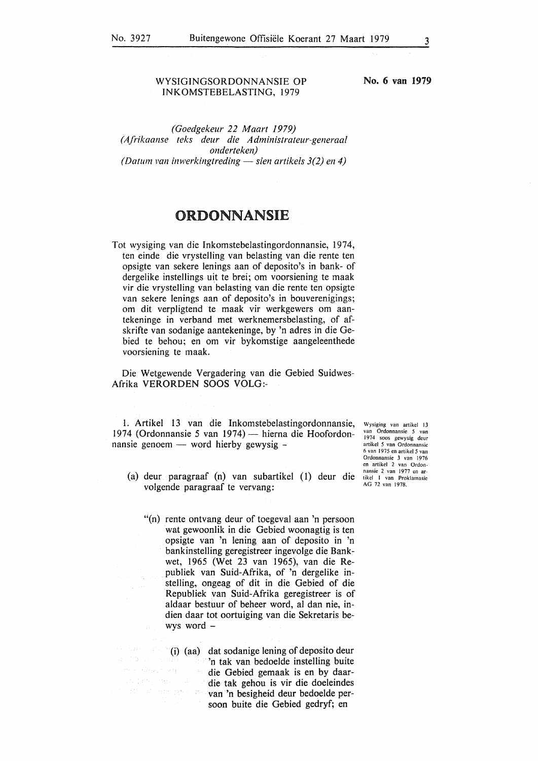#### WYSIGINGSORDONNANSIE OP INKOMSTEBELASTING, 1979

*(Goedgekeur 22 Maart 1979) (Afrikaanse teks deur die Administrateur-generaal onderteken) (Datum van inwerkingtreding — sien artikels 3(2) en 4)* 

## ORDONNANSIE

Tot wysiging van die Inkomstebelastingordonnansie, 1974, ten einde die vrystelling van belasting van die rente ten opsigte van sekere lenings aan of deposito's in bank- of dergelike instellings uit te brei; om voorsiening te maak vir die vrystelling van belasting van die rente ten opsigte van sekere lenings aan of deposito's in bouverenigings; om dit verpligtend te maak vir werkgewers om aantekeninge in verband met werknemersbelasting, of afskrifte van sodanige aantekeninge, by 'n adres in die Gebied te behou; en om vir bykomstige aangeleenthede voorsiening te maak.

Die Wetgewende Vergadering van die Gebied Suidwes-Afrika VERORDEN SOOS VOLO:-

I. Artikel 13 van die Inkomstebelastingordonnansie, 1974 (Ordonnansie 5 van 1974) - hierna die Hoofordonnansie genoem — word hierby gewysig -

Wysiging van artikel 13 van Ordonnansie *5* van 1974 soos gewysig deur artikel 5 van Ordonnansic 6 van 1975 en artikel *5* van Ordonnansic 3 van 1976 en artikel 2 van Ordonnansic 2 van 1977 en artikel I van Proklamasie AG 72 van 1978.

- (a) deur paragraaf (n) van subartikel (1) deur die volgende paragraaf te vervang:
	- "(n) rente ontvang deur of toegeval aan 'n persoon wat gewoonlik in die Gebied woonagtig is ten opsigte van 'n lening aan of deposito in 'n bankinstelling geregistreer ingevolge die Bankwet, 1965 (Wet 23 van 1965), van die Republiek van Suid-Afrika, of 'n dergelike instelling, ongeag of dit in die Gebied of die Republiek van Suid-Afrika geregistreer is of aldaar bestuur of beheer word, al dan nie, indien daar tot oortuiging van die Sekretaris bewys word -

 $(1,0,\ldots)$  $\label{eq:1} \rho_{\mathcal{F}}(\cdot)=\left(\mathcal{M}_{\mathcal{D}^{\prime},\mathcal{E}}(\cdot),\phi_{\mathcal{F}}\right).$ 

**(i)** (aa) dat sodanige lening of deposito deur **The take van bedoelde instelling buite** die Gebied gemaak is en by daar- $\mathcal{C} \in \mathbb{C}^{n} \mathcal{C}^{n} \oplus \mathcal{C}^{n} \mathcal{C}^{n} \oplus \mathcal{C}^{n} \mathcal{C}^{n} \oplus \mathcal{C}^{n}$ die tak gehou is vir die doeleindes 不是一项。在所有权的一致 van 'n besigheid deur bedoelde persoon buite die Gebied gedryf; en

**No. 6 van 1979**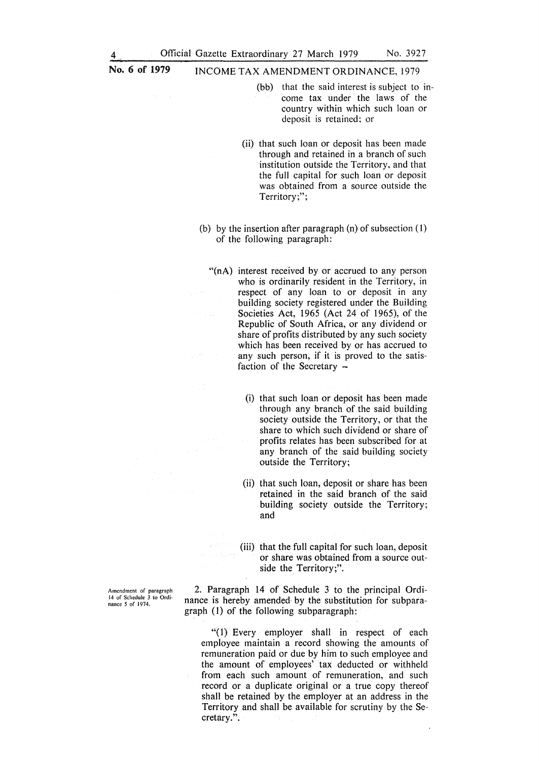$\mathcal{O}(\log n)$ 

#### **No. 6 of 1979** INCOME TAX AMENDMENT ORDINANCE, 1979

- (bb) that the said interest is subject to income tax under the laws of the country within which such loan or deposit is retained; or
- (ii) that such loan or deposit has been made through and retained in a branch of such institution outside the Territory, and that the full capital for such loan or deposit was obtained from a source outside the Territory;";
- (b) by the insertion after paragraph  $(n)$  of subsection  $(1)$ of the following paragraph:
	- "(nA) interest received by or accrued to any person who is ordinarily resident in the Territory, in respect of any loan to or deposit in any building society registered under the Building Societies Act, 1965 (Act 24 of 1965), of the Republic of South Africa, or any dividend or share of profits distributed by any such society which has been received by or has accrued to any such person, if it is proved to the satisfaction of the Secretary  $-$ 
		- (i) that such loan or deposit has been made through any branch of the said building society outside the Territory, or that the share to which such dividend or share of profits relates has been subscribed for at any branch of the said building society outside the Territory;
		- (ii) that such loan, deposit or share has been retained in the said branch of the said building society outside the Territory; and
		- (iii) that the full capital for such loan, deposit or share was obtained from a source outside the Territory;".

Amendment of paragraph 14 of Schedule 3 to Ordi· nance 5 of 1974.

2. Paragraph 14 of Schedule 3 to the principal Ordinance is hereby amended by the substitution for subparagraph (1) of the following subparagraph:

"(l) Every employer shall in respect of each employee maintain a record showing the amounts of remuneration paid or due by him to such employee and the amount of employees' tax deducted or withheld from each such amount of remuneration, and such record or a duplicate original or a true copy thereof shall be retained by the employer at an address in the Territory and shall be available for scrutiny by the Secretary.".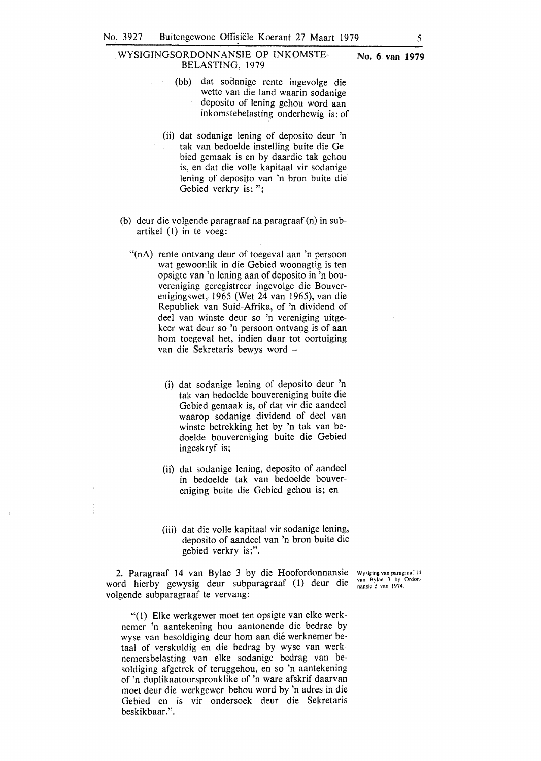#### WYSIGINGSORDONNANSIE OP INKOMSTE- **No. 6 van 1979**  BELASTING, 1979

- (bb) dat sodanige rente ingevolge die wette van die land waarin sodanige deposito of Iening gehou word aan inkomstebelasting onderhewig is; of
- (ii) dat sodanige lening of deposito deur 'n tak van bedoelde instelling buite die Gebied gemaak is en by daardie tak gehou is, en dat die voile kapitaal vir sodanige lening of deposito van 'n bron buite die Gebied verkry is; ";
- (b) deur die volgende paragraaf na paragraaf (n) in subartikel (1) in te voeg:
	- "(nA) rente ontvang deur of toegeval aan 'n persoon wat gewoonlik in die Gebied woonagtig is ten opsigte van 'n lening aan of deposito in 'n bouvereniging geregistreer ingevolge die Bouverenigingswet, 1965 (Wet 24 van 1965), van die Republiek van Suid-Afrika, of 'n dividend of dee! van winste deur so 'n vereniging uitgekeer wat deur so 'n persoon ontvang is of aan hom toegeval het, indien daar tot oortuiging van die Sekretaris bewys word -
		- (i) dat sodanige Iening of deposito deur 'n tak van bedoelde bouvereniging buite die Gebied gemaak is, of dat vir die aandeel waarop sodanige dividend of deel van winste betrekking het by 'n tak van bedoelde bouvereniging buite die Gebied ingeskryf is;
		- (ii) dat sodanige lening, deposito of aandeel in bedoelde tak van bedoelde bouvereniging buite die Gebied gehou is; en
		- (iii) dat die voile kapitaal vir sodanige lening, deposito of aandeel van 'n bron buite die gebied verkry is;".

2. Paragraaf 14 van Bylae 3 by die Hoofordonnansie word hierby gewysig deur subparagraaf (1) deur die volgende subparagraaf te vervang:

Wysiging van paragraaf 14 van Bylae 3 by Ordon-nansie 5 van 1974-

"(l) Elke werkgewer moet ten opsigte van elke werknemer 'n aantekening hou aantonende die bedrae by wyse van besoldiging deur hom aan dié werknemer betaal of verskuldig en die bedrag by wyse van werknemersbelasting van elke sodanige bedrag van besoldiging afgetrek of teruggehou, en so 'n aantekening of 'n duplikaatoorspronklike of 'n ware afskrif daarvan moet deur die werkgewer behou word by 'n adres in die Gebied en is vir ondersoek deur die Sekretaris beskikbaar.".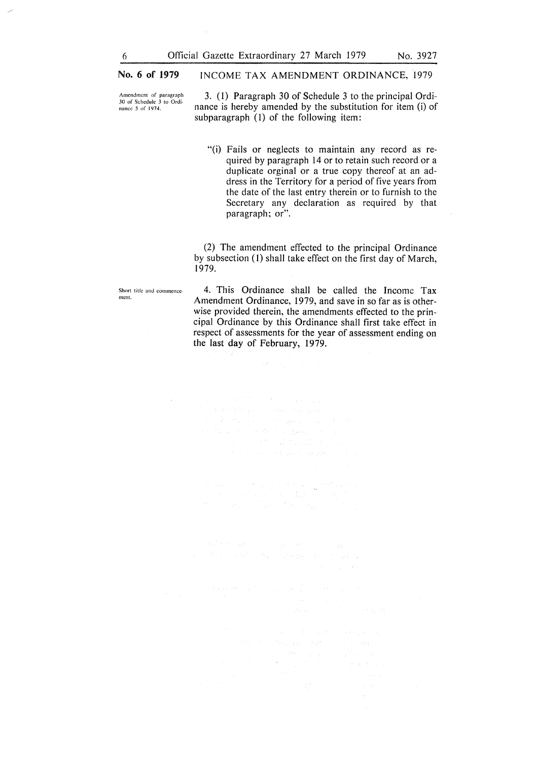#### **No. 6 of 1979**

÷.

Amendment of paragraph 30 of Schedule 3 to Ordinancc 5 of 1974.

INCOME TAX AMENDMENT ORDINANCE, 1979

3. (l) Paragraph 30 of Schedule 3 to the principal Ordinance is hereby amended by the substitution for item (i) of subparagraph (1) of the following item:

"(i) Fails or neglects to maintain any record as required by paragraph 14 or to retain such record or a duplicate orginal or a true copy thereof at an address in the Territory for a period of five years from the date of the last entry therein or to furnish to the Secretary any declaration as required by that paragraph; or".

(2) The amendment effected to the principal Ordinance by subsection (I) shall take effect on the first day of March, 1979.

Short title and commence· mcnt.

 $\mathcal{L}$ 

4. This Ordinance shall be called the Income Tax Amendment Ordinance, 1979, and save in so far as is otherwise provided therein, the amendments effected to the principal Ordinance by this Ordinance shall first take effect in respect of assessments for the year of assessment ending on the last day of February, 1979.

de la poste se estadounidense a los presidentes.<br>Comencial de la provincia de la política de la política.<br>Monte de provincia de la provincia de la política de la provincia de la provincia de la provincia de la provi

 $\label{eq:2.1} \mathcal{L} = \frac{1}{2} \left[ \mathcal{L} \left( \mathcal{L} \right) \mathcal{L} \left( \mathcal{L} \right) - \mathcal{L} \mathcal{L} \left( \mathcal{L} \right) \mathcal{L} \left( \mathcal{L} \right) \right] \mathcal{L} \left( \mathcal{L} \right) \mathcal{L} \left( \mathcal{L} \right) \mathcal{L} \left( \mathcal{L} \right) \mathcal{L} \left( \mathcal{L} \right) \mathcal{L} \left( \mathcal{L} \right) \mathcal{L} \left( \mathcal{L} \right) \mathcal{$  $\begin{split} \mathcal{D}^{\mu\nu}_{\mu\nu} &\stackrel{\text{def}}{=} \mathcal{D}^{\mu\nu}_{\mu\nu} &\stackrel{\text{def}}{=} \mathcal{D}^{\mu\nu}_{\mu\nu} &\stackrel{\text{def}}{=} \mathcal{D}^{\mu\nu}_{\mu\nu} &\stackrel{\text{def}}{=} \mathcal{D}^{\mu\nu}_{\mu\nu} &\stackrel{\text{def}}{=} \mathcal{D}^{\mu\nu}_{\mu\nu} &\stackrel{\text{def}}{=} \mathcal{D}^{\mu\nu}_{\mu\nu} &\stackrel{\text{def}}{=} \mathcal{D}^{\mu\nu}_{\mu\nu} &\$